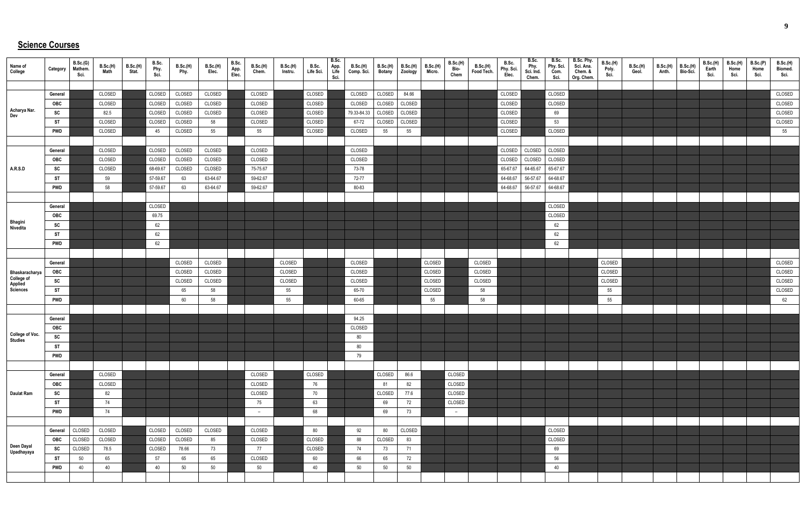## **Science Courses**

| Name of<br>College                      | Category   | B.Sc.(G)<br>Mathem.<br>Sci. | B.Sc.(H)<br>Math | B.Sc.(H)<br>Stat. | B.Sc.<br>Phy<br>Sci. | B.Sc.(H)<br>Phy. | B.Sc.(H)<br>Elec. | B.Sc.<br>App.<br>Elec. | <b>B.Sc.(H)</b><br>Chem. | B.Sc.(H)<br>Instru. | B.Sc.<br>Life Sci. | B.Sc.<br>App.<br>Life<br>Sci. | B.Sc.(H)<br>Comp. Sci. | <b>B.Sc.(H)</b><br><b>Botany</b> | B.Sc.(H)<br>Zoology | B.Sc.(H)<br>Micro. | B.Sc.(H)<br>Bio-<br>Chem | B.Sc.(H)<br>Food Tech. | B.Sc.<br>Phy. Sci.<br>Elec. | B.Sc.<br>Phy.<br>Sci. Ind.<br>Chem. | B.Sc.<br>Phy. Sci.<br>Com.<br>Sci. | B.Sc. Phy.<br>Sci. Ana.<br>Chem. &<br>Org. Chem. | <b>B.Sc.(H)</b><br>Poly.<br>Sci. | B.Sc.(H)<br>Geol. | B.Sc.(H)<br>Anth. | <b>B.Sc.(H)</b><br>Bio-Sci. | <b>B.Sc.(H)</b><br>Earth<br>Sci. | B.Sc.(H)<br>Home<br>Sci. | B.Sc.(P)<br>Home<br>Sci. | B.Sc.(H)<br>Biomed.<br>Sci. |
|-----------------------------------------|------------|-----------------------------|------------------|-------------------|----------------------|------------------|-------------------|------------------------|--------------------------|---------------------|--------------------|-------------------------------|------------------------|----------------------------------|---------------------|--------------------|--------------------------|------------------------|-----------------------------|-------------------------------------|------------------------------------|--------------------------------------------------|----------------------------------|-------------------|-------------------|-----------------------------|----------------------------------|--------------------------|--------------------------|-----------------------------|
|                                         |            |                             |                  |                   |                      |                  |                   |                        |                          |                     |                    |                               |                        |                                  |                     |                    |                          |                        |                             |                                     |                                    |                                                  |                                  |                   |                   |                             |                                  |                          |                          |                             |
|                                         | General    |                             | CLOSED           |                   | CLOSED               | CLOSED           | CLOSED            |                        | CLOSED                   |                     | CLOSED             |                               | CLOSED                 | CLOSED                           | 84.66               |                    |                          |                        | CLOSED                      |                                     | CLOSED                             |                                                  |                                  |                   |                   |                             |                                  |                          |                          | CLOSED                      |
|                                         | OBC        |                             | CLOSED           |                   | CLOSED               | CLOSED           | CLOSED            |                        | CLOSED                   |                     | CLOSED             |                               | CLOSED                 | CLOSED                           | CLOSED              |                    |                          |                        | CLOSED                      |                                     | CLOSED                             |                                                  |                                  |                   |                   |                             |                                  |                          |                          | CLOSED                      |
| Acharya Nar.<br>Dev                     | SC         |                             | 82.5             |                   | CLOSED               | CLOSED           | CLOSED            |                        | CLOSED                   |                     | CLOSED             |                               | 79.33-84.33            | CLOSED                           | CLOSED              |                    |                          |                        | CLOSED                      |                                     | 69                                 |                                                  |                                  |                   |                   |                             |                                  |                          |                          | CLOSED                      |
|                                         | ST         |                             | CLOSED           |                   | CLOSED               | CLOSED           | 58                |                        | CLOSED                   |                     | CLOSED             |                               | 67-72                  | CLOSED                           | CLOSED              |                    |                          |                        | CLOSED                      |                                     | 53                                 |                                                  |                                  |                   |                   |                             |                                  |                          |                          | CLOSED                      |
|                                         | <b>PWD</b> |                             | CLOSED           |                   | 45                   | CLOSED           | 55                |                        | 55                       |                     | CLOSED             |                               | CLOSED                 | 55                               | 55                  |                    |                          |                        | CLOSED                      |                                     | CLOSED                             |                                                  |                                  |                   |                   |                             |                                  |                          |                          | 55                          |
|                                         |            |                             |                  |                   |                      |                  |                   |                        |                          |                     |                    |                               |                        |                                  |                     |                    |                          |                        |                             |                                     |                                    |                                                  |                                  |                   |                   |                             |                                  |                          |                          |                             |
|                                         | General    |                             | CLOSED           |                   | CLOSED               | CLOSED           | CLOSED            |                        | CLOSED                   |                     |                    |                               | CLOSED                 |                                  |                     |                    |                          |                        | CLOSED                      | CLOSED                              | CLOSED                             |                                                  |                                  |                   |                   |                             |                                  |                          |                          |                             |
|                                         | OBC        |                             | CLOSED           |                   | CLOSED               | CLOSED           | CLOSED            |                        | CLOSED                   |                     |                    |                               | CLOSED                 |                                  |                     |                    |                          |                        | CLOSED                      | CLOSED                              | CLOSED                             |                                                  |                                  |                   |                   |                             |                                  |                          |                          |                             |
| <b>A.R.S.D</b>                          | SC         |                             | CLOSED           |                   | 68-69.67             | CLOSED           | CLOSED            |                        | 75-75.67                 |                     |                    |                               | 73-78                  |                                  |                     |                    |                          |                        | 65-67.67                    | 64-65.67                            | 65-67.67                           |                                                  |                                  |                   |                   |                             |                                  |                          |                          |                             |
|                                         | ST         |                             | 59               |                   | 57-59.67             | 63               | 63-64.67          |                        | 59-62.67                 |                     |                    |                               | 72-77                  |                                  |                     |                    |                          |                        | 64-68.67                    | 56-57.67                            | 64-68.67                           |                                                  |                                  |                   |                   |                             |                                  |                          |                          |                             |
|                                         | <b>PWD</b> |                             | 58               |                   | 57-59.67             | 63               | 63-64.67          |                        | 59-62.67                 |                     |                    |                               | 80-83                  |                                  |                     |                    |                          |                        | 64-68.67                    | 56-57.67                            | 64-68.67                           |                                                  |                                  |                   |                   |                             |                                  |                          |                          |                             |
|                                         |            |                             |                  |                   |                      |                  |                   |                        |                          |                     |                    |                               |                        |                                  |                     |                    |                          |                        |                             |                                     |                                    |                                                  |                                  |                   |                   |                             |                                  |                          |                          |                             |
|                                         | General    |                             |                  |                   | CLOSED               |                  |                   |                        |                          |                     |                    |                               |                        |                                  |                     |                    |                          |                        |                             |                                     | CLOSED                             |                                                  |                                  |                   |                   |                             |                                  |                          |                          |                             |
|                                         | <b>OBC</b> |                             |                  |                   | 69.75                |                  |                   |                        |                          |                     |                    |                               |                        |                                  |                     |                    |                          |                        |                             |                                     | CLOSED                             |                                                  |                                  |                   |                   |                             |                                  |                          |                          |                             |
| Bhagini<br>Nivedita                     | SC         |                             |                  |                   | 62                   |                  |                   |                        |                          |                     |                    |                               |                        |                                  |                     |                    |                          |                        |                             |                                     | 62                                 |                                                  |                                  |                   |                   |                             |                                  |                          |                          |                             |
|                                         | ST         |                             |                  |                   | 62                   |                  |                   |                        |                          |                     |                    |                               |                        |                                  |                     |                    |                          |                        |                             |                                     | 62                                 |                                                  |                                  |                   |                   |                             |                                  |                          |                          |                             |
|                                         | <b>PWD</b> |                             |                  |                   | 62                   |                  |                   |                        |                          |                     |                    |                               |                        |                                  |                     |                    |                          |                        |                             |                                     | 62                                 |                                                  |                                  |                   |                   |                             |                                  |                          |                          |                             |
|                                         |            |                             |                  |                   |                      |                  |                   |                        |                          |                     |                    |                               |                        |                                  |                     |                    |                          |                        |                             |                                     |                                    |                                                  |                                  |                   |                   |                             |                                  |                          |                          |                             |
|                                         | General    |                             |                  |                   |                      | CLOSED           | CLOSED            |                        |                          | CLOSED              |                    |                               | CLOSED                 |                                  |                     | CLOSED             |                          | CLOSED                 |                             |                                     |                                    |                                                  | CLOSED                           |                   |                   |                             |                                  |                          |                          | CLOSED                      |
|                                         | OBC        |                             |                  |                   |                      | CLOSED           | CLOSED            |                        |                          | CLOSED              |                    |                               | CLOSED                 |                                  |                     | CLOSED             |                          | CLOSED                 |                             |                                     |                                    |                                                  | CLOSED                           |                   |                   |                             |                                  |                          |                          | CLOSED                      |
| Bhaskaracharya<br>College of<br>Applied | SC         |                             |                  |                   |                      | CLOSED           | CLOSED            |                        |                          | CLOSED              |                    |                               | CLOSED                 |                                  |                     | CLOSED             |                          | CLOSED                 |                             |                                     |                                    |                                                  | CLOSED                           |                   |                   |                             |                                  |                          |                          | CLOSED                      |
| Sciences                                | <b>ST</b>  |                             |                  |                   |                      | 65               | 58                |                        |                          | 55                  |                    |                               | 65-70                  |                                  |                     | CLOSED             |                          | 58                     |                             |                                     |                                    |                                                  | 55                               |                   |                   |                             |                                  |                          |                          | CLOSED                      |
|                                         | <b>PWD</b> |                             |                  |                   |                      | 60               | 58                |                        |                          | 55                  |                    |                               | 60-65                  |                                  |                     | 55                 |                          | 58                     |                             |                                     |                                    |                                                  | 55                               |                   |                   |                             |                                  |                          |                          | 62                          |
|                                         |            |                             |                  |                   |                      |                  |                   |                        |                          |                     |                    |                               |                        |                                  |                     |                    |                          |                        |                             |                                     |                                    |                                                  |                                  |                   |                   |                             |                                  |                          |                          |                             |
|                                         | General    |                             |                  |                   |                      |                  |                   |                        |                          |                     |                    |                               | 94.25                  |                                  |                     |                    |                          |                        |                             |                                     |                                    |                                                  |                                  |                   |                   |                             |                                  |                          |                          |                             |
|                                         | <b>OBC</b> |                             |                  |                   |                      |                  |                   |                        |                          |                     |                    |                               | CLOSED                 |                                  |                     |                    |                          |                        |                             |                                     |                                    |                                                  |                                  |                   |                   |                             |                                  |                          |                          |                             |
| <b>College of Voc.</b><br>Studies       | SC         |                             |                  |                   |                      |                  |                   |                        |                          |                     |                    |                               | 80                     |                                  |                     |                    |                          |                        |                             |                                     |                                    |                                                  |                                  |                   |                   |                             |                                  |                          |                          |                             |
|                                         | <b>ST</b>  |                             |                  |                   |                      |                  |                   |                        |                          |                     |                    |                               | 80                     |                                  |                     |                    |                          |                        |                             |                                     |                                    |                                                  |                                  |                   |                   |                             |                                  |                          |                          |                             |
|                                         | <b>PWD</b> |                             |                  |                   |                      |                  |                   |                        |                          |                     |                    |                               | 79                     |                                  |                     |                    |                          |                        |                             |                                     |                                    |                                                  |                                  |                   |                   |                             |                                  |                          |                          |                             |
|                                         |            |                             |                  |                   |                      |                  |                   |                        |                          |                     |                    |                               |                        |                                  |                     |                    |                          |                        |                             |                                     |                                    |                                                  |                                  |                   |                   |                             |                                  |                          |                          |                             |
|                                         | General    |                             | CLOSED           |                   |                      |                  |                   |                        | CLOSED                   |                     | CLOSED             |                               |                        | CLOSED                           | 86.6                |                    | CLOSED                   |                        |                             |                                     |                                    |                                                  |                                  |                   |                   |                             |                                  |                          |                          |                             |
|                                         | OBC        |                             | CLOSED           |                   |                      |                  |                   |                        | CLOSED                   |                     | 76                 |                               |                        | 81                               | 82                  |                    | CLOSED                   |                        |                             |                                     |                                    |                                                  |                                  |                   |                   |                             |                                  |                          |                          |                             |
| <b>Daulat Ram</b>                       | SC         |                             | 82               |                   |                      |                  |                   |                        | CLOSED                   |                     | 70                 |                               |                        | CLOSED                           | 77.6                |                    | CLOSED                   |                        |                             |                                     |                                    |                                                  |                                  |                   |                   |                             |                                  |                          |                          |                             |
|                                         | <b>ST</b>  |                             | 74               |                   |                      |                  |                   |                        | 75                       |                     | 63                 |                               |                        | 69                               | 72                  |                    | CLOSED                   |                        |                             |                                     |                                    |                                                  |                                  |                   |                   |                             |                                  |                          |                          |                             |
|                                         | <b>PWD</b> |                             | 74               |                   |                      |                  |                   |                        | $-$                      |                     | 68                 |                               |                        | 69                               | 73                  |                    | $-$                      |                        |                             |                                     |                                    |                                                  |                                  |                   |                   |                             |                                  |                          |                          |                             |
|                                         |            |                             |                  |                   |                      |                  |                   |                        |                          |                     |                    |                               |                        |                                  |                     |                    |                          |                        |                             |                                     |                                    |                                                  |                                  |                   |                   |                             |                                  |                          |                          |                             |
|                                         | General    | CLOSED                      | CLOSED           |                   | CLOSED               | CLOSED           | CLOSED            |                        | CLOSED                   |                     | 80                 |                               | 92                     | 80                               | CLOSED              |                    |                          |                        |                             |                                     | CLOSED                             |                                                  |                                  |                   |                   |                             |                                  |                          |                          |                             |
| Deen Dayal                              | <b>OBC</b> | CLOSED                      | CLOSED           |                   | CLOSED               | CLOSED           | 85                |                        | CLOSED                   |                     | CLOSED             |                               | 88                     | CLOSED                           | 83                  |                    |                          |                        |                             |                                     | CLOSED                             |                                                  |                                  |                   |                   |                             |                                  |                          |                          |                             |
| Upadhayaya                              | SC         | CLOSED                      | 78.5             |                   | CLOSED               | 78.66            | 73                |                        | 77                       |                     | CLOSED             |                               | 74                     | 73                               | 71                  |                    |                          |                        |                             |                                     | 69                                 |                                                  |                                  |                   |                   |                             |                                  |                          |                          |                             |
|                                         | <b>ST</b>  | 50                          | 65               |                   | 57                   | 65               | 65                |                        | CLOSED                   |                     | 60                 |                               | 66                     | 65                               | 72                  |                    |                          |                        |                             |                                     | 56                                 |                                                  |                                  |                   |                   |                             |                                  |                          |                          |                             |
|                                         | <b>PWD</b> | 40                          | 40               |                   | 40                   | 50               | 50                |                        | 50                       |                     | 40                 |                               | 50                     | 50                               | 50                  |                    |                          |                        |                             |                                     | 40                                 |                                                  |                                  |                   |                   |                             |                                  |                          |                          |                             |
|                                         |            |                             |                  |                   |                      |                  |                   |                        |                          |                     |                    |                               |                        |                                  |                     |                    |                          |                        |                             |                                     |                                    |                                                  |                                  |                   |                   |                             |                                  |                          |                          |                             |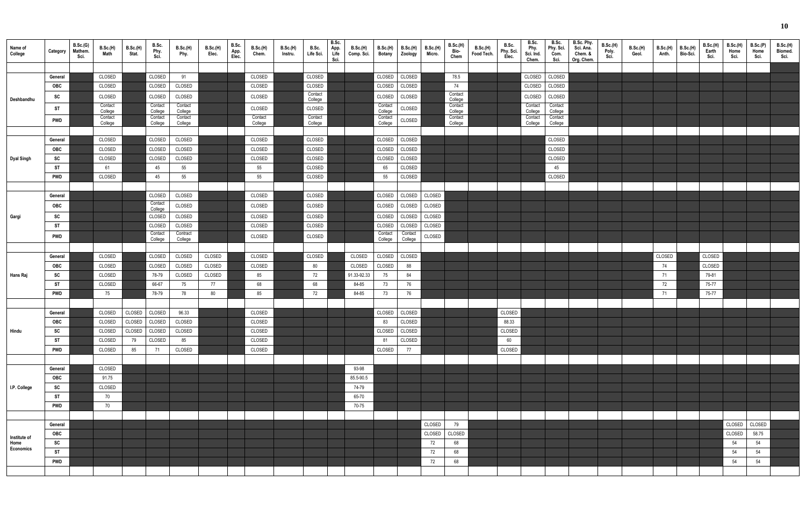| Name of<br>College       | Category                | B.Sc.(G)<br>Mathem.<br>Sci. | B.Sc.(H)<br>Math   | B.Sc.(H)<br>Stat. | B.Sc.<br>Phy.<br>Sci. | B.Sc.(H)<br>Phy.   | B.Sc.(H)<br>Elec. | B.Sc.<br>App.<br>Elec. | <b>B.Sc.(H)</b><br>Chem. | B.Sc.(H)<br>Instru. | B.Sc.<br>Life Sci. | B.Sc.<br>App.<br>Life<br>Sci. | <b>B.Sc.(H)</b><br>Comp. Sci. | <b>B.Sc.(H)</b><br>Botany | B.Sc.(H)<br>Zoology | B.Sc.(H)<br>Micro. | B.Sc.(H)<br>Bio-<br>Chem | <b>B.Sc.(H)</b><br>Food Tech. | B.Sc.<br>Phy. Sci.<br>Elec. | B.Sc.<br>Phy.<br>Sci. Ind.<br>Chem. | B.Sc.<br>Phy. Sci.<br>Com.<br>Sci. | B.Sc. Phy.<br>Sci. Ana.<br>Chem. &<br>Org. Chem. | B.Sc.(H)<br>Poly.<br>Sci. | B.Sc.(H)<br>Geol. | <b>B.Sc.(H)</b><br>Anth. | <b>B.Sc.(H)</b><br>Bio-Sci. | <b>B.Sc.(H)</b><br>Earth<br>Sci. | <b>B.Sc.(H)</b><br>Home<br>Sci. | B.Sc.(P)<br>Home<br>Sci. | B.Sc.(H)<br>Biomed.<br>Sci. |
|--------------------------|-------------------------|-----------------------------|--------------------|-------------------|-----------------------|--------------------|-------------------|------------------------|--------------------------|---------------------|--------------------|-------------------------------|-------------------------------|---------------------------|---------------------|--------------------|--------------------------|-------------------------------|-----------------------------|-------------------------------------|------------------------------------|--------------------------------------------------|---------------------------|-------------------|--------------------------|-----------------------------|----------------------------------|---------------------------------|--------------------------|-----------------------------|
|                          |                         |                             |                    |                   |                       |                    |                   |                        |                          |                     |                    |                               |                               |                           |                     |                    |                          |                               |                             |                                     |                                    |                                                  |                           |                   |                          |                             |                                  |                                 |                          |                             |
|                          | General<br>OBC          |                             | CLOSED<br>CLOSED   |                   | CLOSED<br>CLOSED      | 91<br>CLOSED       |                   |                        | CLOSED<br>CLOSED         |                     | CLOSED<br>CLOSED   |                               |                               | CLOSED<br>CLOSED          | CLOSED<br>CLOSED    |                    | 78.5<br>74               |                               |                             | CLOSED<br>CLOSED                    | CLOSED<br>CLOSED                   |                                                  |                           |                   |                          |                             |                                  |                                 |                          |                             |
|                          | SC                      |                             | CLOSED             |                   | CLOSED                | CLOSED             |                   |                        | CLOSED                   |                     | Contact            |                               |                               | CLOSED                    | CLOSED              |                    | Contact                  |                               |                             | CLOSED                              | CLOSED                             |                                                  |                           |                   |                          |                             |                                  |                                 |                          |                             |
| Deshbandhu               |                         |                             | Contact            |                   | Contact               | Contact            |                   |                        |                          |                     | College            |                               |                               | Contact                   |                     |                    | College<br>Contact       |                               |                             | Contact                             | Contact                            |                                                  |                           |                   |                          |                             |                                  |                                 |                          |                             |
|                          | ST                      |                             | College<br>Contact |                   | College<br>Contact    | College<br>Contact |                   |                        | CLOSED<br>Contact        |                     | CLOSED<br>Contact  |                               |                               | College<br>Contact        | CLOSED              |                    | College<br>Contact       |                               |                             | College<br>Contact                  | College<br>Contact                 |                                                  |                           |                   |                          |                             |                                  |                                 |                          |                             |
|                          | <b>PWD</b>              |                             | College            |                   | College               | College            |                   |                        | College                  |                     | College            |                               |                               | College                   | CLOSED              |                    | College                  |                               |                             | College                             | College                            |                                                  |                           |                   |                          |                             |                                  |                                 |                          |                             |
|                          |                         |                             |                    |                   |                       |                    |                   |                        |                          |                     |                    |                               |                               |                           |                     |                    |                          |                               |                             |                                     |                                    |                                                  |                           |                   |                          |                             |                                  |                                 |                          |                             |
|                          | General                 |                             | CLOSED             |                   | CLOSED                | CLOSED             |                   |                        | CLOSED                   |                     | CLOSED             |                               |                               | CLOSED                    | CLOSED              |                    |                          |                               |                             |                                     | CLOSED                             |                                                  |                           |                   |                          |                             |                                  |                                 |                          |                             |
|                          | OBC                     |                             | CLOSED             |                   | CLOSED                | CLOSED             |                   |                        | CLOSED                   |                     | CLOSED             |                               |                               | CLOSED                    | CLOSED              |                    |                          |                               |                             |                                     | CLOSED                             |                                                  |                           |                   |                          |                             |                                  |                                 |                          |                             |
| Dyal Singh               | SC<br><b>ST</b>         |                             | CLOSED<br>61       |                   | CLOSED                | CLOSED             |                   |                        | CLOSED                   |                     | CLOSED<br>CLOSED   |                               |                               | CLOSED                    | CLOSED<br>CLOSED    |                    |                          |                               |                             |                                     | CLOSED                             |                                                  |                           |                   |                          |                             |                                  |                                 |                          |                             |
|                          | <b>PWD</b>              |                             | CLOSED             |                   | 45<br>45              | 55<br>55           |                   |                        | 55<br>55                 |                     | CLOSED             |                               |                               | 65<br>55                  | CLOSED              |                    |                          |                               |                             |                                     | 45<br>CLOSED                       |                                                  |                           |                   |                          |                             |                                  |                                 |                          |                             |
|                          |                         |                             |                    |                   |                       |                    |                   |                        |                          |                     |                    |                               |                               |                           |                     |                    |                          |                               |                             |                                     |                                    |                                                  |                           |                   |                          |                             |                                  |                                 |                          |                             |
|                          | General                 |                             |                    |                   | CLOSED                | CLOSED             |                   |                        | CLOSED                   |                     | CLOSED             |                               |                               | CLOSED                    | CLOSED              | CLOSED             |                          |                               |                             |                                     |                                    |                                                  |                           |                   |                          |                             |                                  |                                 |                          |                             |
|                          | OBC                     |                             |                    |                   | Contact               | CLOSED             |                   |                        | CLOSED                   |                     | CLOSED             |                               |                               | CLOSED                    | CLOSED              | CLOSED             |                          |                               |                             |                                     |                                    |                                                  |                           |                   |                          |                             |                                  |                                 |                          |                             |
| Gargi                    | SC                      |                             |                    |                   | College<br>CLOSED     | CLOSED             |                   |                        | CLOSED                   |                     | CLOSED             |                               |                               | CLOSED                    | CLOSED              | CLOSED             |                          |                               |                             |                                     |                                    |                                                  |                           |                   |                          |                             |                                  |                                 |                          |                             |
|                          | ST                      |                             |                    |                   | CLOSED                | CLOSED             |                   |                        | CLOSED                   |                     | CLOSED             |                               |                               | CLOSED                    | CLOSED              | CLOSED             |                          |                               |                             |                                     |                                    |                                                  |                           |                   |                          |                             |                                  |                                 |                          |                             |
|                          | <b>PWD</b>              |                             |                    |                   | Contact               | Contract           |                   |                        | CLOSED                   |                     | CLOSED             |                               |                               | Contact                   | Contact             | CLOSED             |                          |                               |                             |                                     |                                    |                                                  |                           |                   |                          |                             |                                  |                                 |                          |                             |
|                          |                         |                             |                    |                   | College               | College            |                   |                        |                          |                     |                    |                               |                               | College                   | College             |                    |                          |                               |                             |                                     |                                    |                                                  |                           |                   |                          |                             |                                  |                                 |                          |                             |
|                          | General                 |                             | CLOSED             |                   | CLOSED                | CLOSED             | CLOSED            |                        | CLOSED                   |                     | CLOSED             |                               | CLOSED                        | CLOSED                    | CLOSED              |                    |                          |                               |                             |                                     |                                    |                                                  |                           |                   | CLOSED                   |                             | CLOSED                           |                                 |                          |                             |
|                          | OBC                     |                             | CLOSED             |                   | CLOSED                | CLOSED             | CLOSED            |                        | CLOSED                   |                     | 80                 |                               | CLOSED                        | CLOSED                    | 88                  |                    |                          |                               |                             |                                     |                                    |                                                  |                           |                   | 74                       |                             | CLOSED                           |                                 |                          |                             |
| Hans Raj                 | SC                      |                             | CLOSED             |                   | 78-79                 | CLOSED             | CLOSED            |                        | 85                       |                     | 72                 |                               | 91.33-92.33                   | 75                        | 84                  |                    |                          |                               |                             |                                     |                                    |                                                  |                           |                   | 71                       |                             | 79-81                            |                                 |                          |                             |
|                          | <b>ST</b>               |                             | CLOSED             |                   | 66-67                 | 75                 | 77                |                        | 68                       |                     | 68                 |                               | 84-85                         | 73                        | 76                  |                    |                          |                               |                             |                                     |                                    |                                                  |                           |                   | 72                       |                             | 75-77                            |                                 |                          |                             |
|                          | <b>PWD</b>              |                             | 75                 |                   | 78-79                 | 78                 | 80                |                        | 85                       |                     | 72                 |                               | 84-85                         | 73                        | 76                  |                    |                          |                               |                             |                                     |                                    |                                                  |                           |                   | 71                       |                             | 75-77                            |                                 |                          |                             |
|                          |                         |                             |                    |                   |                       |                    |                   |                        |                          |                     |                    |                               |                               |                           |                     |                    |                          |                               |                             |                                     |                                    |                                                  |                           |                   |                          |                             |                                  |                                 |                          |                             |
|                          | General                 |                             | CLOSED             | CLOSED            | CLOSED                | 96.33              |                   |                        | CLOSED                   |                     |                    |                               |                               | CLOSED                    | CLOSED              |                    |                          |                               | CLOSED                      |                                     |                                    |                                                  |                           |                   |                          |                             |                                  |                                 |                          |                             |
|                          | OBC                     |                             | CLOSED             | CLOSED            | CLOSED                | CLOSED             |                   |                        | CLOSED                   |                     |                    |                               |                               | 83                        | CLOSED              |                    |                          |                               | 88.33                       |                                     |                                    |                                                  |                           |                   |                          |                             |                                  |                                 |                          |                             |
| Hindu                    | SC                      |                             | CLOSED             | CLOSED            | CLOSED                | CLOSED             |                   |                        | CLOSED                   |                     |                    |                               |                               | CLOSED                    | CLOSED              |                    |                          |                               | CLOSED                      |                                     |                                    |                                                  |                           |                   |                          |                             |                                  |                                 |                          |                             |
|                          | <b>ST</b><br><b>PWD</b> |                             | CLOSED<br>CLOSED   | 79<br>85          | CLOSED<br>71          | 85<br>CLOSED       |                   |                        | CLOSED<br>CLOSED         |                     |                    |                               |                               | 81<br>CLOSED              | CLOSED<br>77        |                    |                          |                               | 60<br>CLOSED                |                                     |                                    |                                                  |                           |                   |                          |                             |                                  |                                 |                          |                             |
|                          |                         |                             |                    |                   |                       |                    |                   |                        |                          |                     |                    |                               |                               |                           |                     |                    |                          |                               |                             |                                     |                                    |                                                  |                           |                   |                          |                             |                                  |                                 |                          |                             |
|                          | General                 |                             | CLOSED             |                   |                       |                    |                   |                        |                          |                     |                    |                               | 93-98                         |                           |                     |                    |                          |                               |                             |                                     |                                    |                                                  |                           |                   |                          |                             |                                  |                                 |                          |                             |
|                          | OBC                     |                             | 91.75              |                   |                       |                    |                   |                        |                          |                     |                    |                               | 85.5-90.5                     |                           |                     |                    |                          |                               |                             |                                     |                                    |                                                  |                           |                   |                          |                             |                                  |                                 |                          |                             |
| I.P. College             | SC                      |                             | CLOSED             |                   |                       |                    |                   |                        |                          |                     |                    |                               | 74-79                         |                           |                     |                    |                          |                               |                             |                                     |                                    |                                                  |                           |                   |                          |                             |                                  |                                 |                          |                             |
|                          | ST                      |                             | 70                 |                   |                       |                    |                   |                        |                          |                     |                    |                               | 65-70                         |                           |                     |                    |                          |                               |                             |                                     |                                    |                                                  |                           |                   |                          |                             |                                  |                                 |                          |                             |
|                          | PWD                     |                             | 70                 |                   |                       |                    |                   |                        |                          |                     |                    |                               | 70-75                         |                           |                     |                    |                          |                               |                             |                                     |                                    |                                                  |                           |                   |                          |                             |                                  |                                 |                          |                             |
|                          |                         |                             |                    |                   |                       |                    |                   |                        |                          |                     |                    |                               |                               |                           |                     |                    |                          |                               |                             |                                     |                                    |                                                  |                           |                   |                          |                             |                                  |                                 |                          |                             |
|                          | General                 |                             |                    |                   |                       |                    |                   |                        |                          |                     |                    |                               |                               |                           |                     | CLOSED             | 79                       |                               |                             |                                     |                                    |                                                  |                           |                   |                          |                             |                                  | CLOSED                          | CLOSED                   |                             |
| Institute of             | OBC                     |                             |                    |                   |                       |                    |                   |                        |                          |                     |                    |                               |                               |                           |                     | CLOSED             | CLOSED                   |                               |                             |                                     |                                    |                                                  |                           |                   |                          |                             |                                  | CLOSED                          | 58.75                    |                             |
| Home<br><b>Economics</b> | SC                      |                             |                    |                   |                       |                    |                   |                        |                          |                     |                    |                               |                               |                           |                     | 72                 | 68                       |                               |                             |                                     |                                    |                                                  |                           |                   |                          |                             |                                  | 54                              | 54                       |                             |
|                          | <b>ST</b>               |                             |                    |                   |                       |                    |                   |                        |                          |                     |                    |                               |                               |                           |                     | 72                 | 68                       |                               |                             |                                     |                                    |                                                  |                           |                   |                          |                             |                                  | 54                              | 54                       |                             |
|                          | <b>PWD</b>              |                             |                    |                   |                       |                    |                   |                        |                          |                     |                    |                               |                               |                           |                     | 72                 | 68                       |                               |                             |                                     |                                    |                                                  |                           |                   |                          |                             |                                  | 54                              | 54                       |                             |
|                          |                         |                             |                    |                   |                       |                    |                   |                        |                          |                     |                    |                               |                               |                           |                     |                    |                          |                               |                             |                                     |                                    |                                                  |                           |                   |                          |                             |                                  |                                 |                          |                             |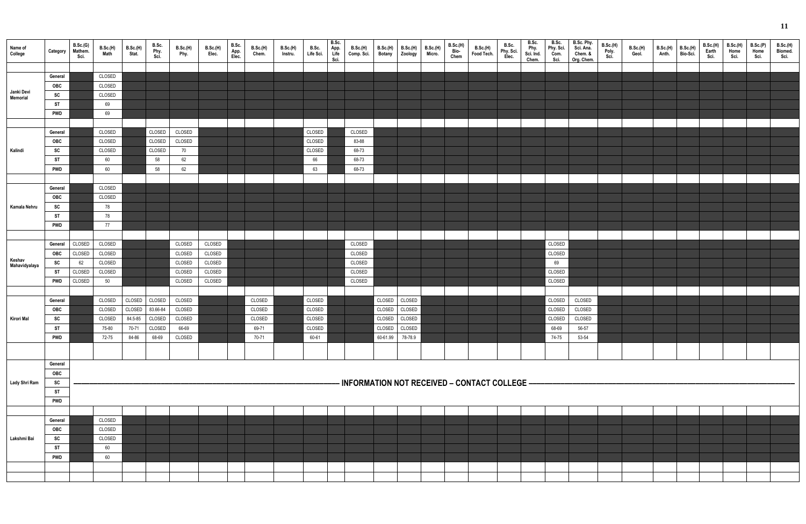|                         |            |                     |                  |                   |                       |                 |                   |               |          |                 |                    | B.Sc.        |                                                |                  |                     |                           |                          |                        |                    | B.Sc.              | B.Sc.        |                                    |                                  |                          |                   |                      |                   |                  |                  |                     |
|-------------------------|------------|---------------------|------------------|-------------------|-----------------------|-----------------|-------------------|---------------|----------|-----------------|--------------------|--------------|------------------------------------------------|------------------|---------------------|---------------------------|--------------------------|------------------------|--------------------|--------------------|--------------|------------------------------------|----------------------------------|--------------------------|-------------------|----------------------|-------------------|------------------|------------------|---------------------|
| Name of                 | Category   | B.Sc.(G)<br>Mathem. | B.Sc.(H)<br>Math | B.Sc.(H)<br>Stat. | B.Sc.<br>Phy.<br>Sci. | <b>B.Sc.(H)</b> | B.Sc.(H)<br>Elec. | B.Sc.         | B.Sc.(H) | <b>B.Sc.(H)</b> | B.Sc.<br>Life Sci. | App.<br>Life | <b>B.Sc.(H)</b><br>Comp. Sci.                  | <b>B.Sc.(H)</b>  | B.Sc.(H)<br>Zoology | <b>B.Sc.(H)</b><br>Micro. | B.Sc.(H)<br>Bio-<br>Chem | B.Sc.(H)<br>Food Tech. | B.Sc.              | Phy.               | Phy. Sci.    | B.Sc. Phy.<br>Sci. Ana.<br>Chem. & | <b>B.Sc.(H)</b><br>Poly.<br>Sci. | <b>B.Sc.(H)</b><br>Geol. | B.Sc.(H)<br>Anth. | B.Sc.(H)<br>Bio-Sci. | B.Sc.(H)<br>Earth | B.Sc.(H)<br>Home | B.Sc.(P)<br>Home | B.Sc.(H)<br>Biomed. |
| College                 |            | Sci.                |                  |                   |                       | Phy.            |                   | App.<br>Elec. | Chem.    | Instru.         |                    | Sci.         |                                                | <b>Botany</b>    |                     |                           |                          |                        | Phy. Sci.<br>Elec. | Sci. Ind.<br>Chem. | Com.<br>Sci. | Org. Chem.                         |                                  |                          |                   |                      | Sci.              | Sci.             | Sci.             | Sci.                |
|                         |            |                     |                  |                   |                       |                 |                   |               |          |                 |                    |              |                                                |                  |                     |                           |                          |                        |                    |                    |              |                                    |                                  |                          |                   |                      |                   |                  |                  |                     |
|                         | General    |                     | CLOSED           |                   |                       |                 |                   |               |          |                 |                    |              |                                                |                  |                     |                           |                          |                        |                    |                    |              |                                    |                                  |                          |                   |                      |                   |                  |                  |                     |
|                         | OBC        |                     | CLOSED           |                   |                       |                 |                   |               |          |                 |                    |              |                                                |                  |                     |                           |                          |                        |                    |                    |              |                                    |                                  |                          |                   |                      |                   |                  |                  |                     |
| Janki Devi<br>Memorial  | SC         |                     | CLOSED           |                   |                       |                 |                   |               |          |                 |                    |              |                                                |                  |                     |                           |                          |                        |                    |                    |              |                                    |                                  |                          |                   |                      |                   |                  |                  |                     |
|                         | <b>ST</b>  |                     | 69               |                   |                       |                 |                   |               |          |                 |                    |              |                                                |                  |                     |                           |                          |                        |                    |                    |              |                                    |                                  |                          |                   |                      |                   |                  |                  |                     |
|                         | <b>PWD</b> |                     | 69               |                   |                       |                 |                   |               |          |                 |                    |              |                                                |                  |                     |                           |                          |                        |                    |                    |              |                                    |                                  |                          |                   |                      |                   |                  |                  |                     |
|                         |            |                     |                  |                   |                       |                 |                   |               |          |                 |                    |              |                                                |                  |                     |                           |                          |                        |                    |                    |              |                                    |                                  |                          |                   |                      |                   |                  |                  |                     |
|                         | General    |                     | CLOSED           |                   | CLOSED                | CLOSED          |                   |               |          |                 | CLOSED             |              | CLOSED                                         |                  |                     |                           |                          |                        |                    |                    |              |                                    |                                  |                          |                   |                      |                   |                  |                  |                     |
|                         | OBC        |                     | CLOSED           |                   | CLOSED                | CLOSED          |                   |               |          |                 | CLOSED             |              | 83-88                                          |                  |                     |                           |                          |                        |                    |                    |              |                                    |                                  |                          |                   |                      |                   |                  |                  |                     |
|                         |            |                     |                  |                   |                       |                 |                   |               |          |                 |                    |              |                                                |                  |                     |                           |                          |                        |                    |                    |              |                                    |                                  |                          |                   |                      |                   |                  |                  |                     |
| Kalindi                 | SC         |                     | CLOSED           |                   | CLOSED                | 70              |                   |               |          |                 | CLOSED             |              | 68-73                                          |                  |                     |                           |                          |                        |                    |                    |              |                                    |                                  |                          |                   |                      |                   |                  |                  |                     |
|                         | ST         |                     | 60               |                   | 58                    | 62              |                   |               |          |                 | 66                 |              | 68-73                                          |                  |                     |                           |                          |                        |                    |                    |              |                                    |                                  |                          |                   |                      |                   |                  |                  |                     |
|                         | <b>PWD</b> |                     | 60               |                   | 58                    | 62              |                   |               |          |                 | 63                 |              | 68-73                                          |                  |                     |                           |                          |                        |                    |                    |              |                                    |                                  |                          |                   |                      |                   |                  |                  |                     |
|                         |            |                     |                  |                   |                       |                 |                   |               |          |                 |                    |              |                                                |                  |                     |                           |                          |                        |                    |                    |              |                                    |                                  |                          |                   |                      |                   |                  |                  |                     |
|                         | General    |                     | CLOSED           |                   |                       |                 |                   |               |          |                 |                    |              |                                                |                  |                     |                           |                          |                        |                    |                    |              |                                    |                                  |                          |                   |                      |                   |                  |                  |                     |
|                         | OBC        |                     | CLOSED           |                   |                       |                 |                   |               |          |                 |                    |              |                                                |                  |                     |                           |                          |                        |                    |                    |              |                                    |                                  |                          |                   |                      |                   |                  |                  |                     |
| Kamala Nehru            | SC         |                     | 78               |                   |                       |                 |                   |               |          |                 |                    |              |                                                |                  |                     |                           |                          |                        |                    |                    |              |                                    |                                  |                          |                   |                      |                   |                  |                  |                     |
|                         | <b>ST</b>  |                     | 78               |                   |                       |                 |                   |               |          |                 |                    |              |                                                |                  |                     |                           |                          |                        |                    |                    |              |                                    |                                  |                          |                   |                      |                   |                  |                  |                     |
|                         | <b>PWD</b> |                     | 77               |                   |                       |                 |                   |               |          |                 |                    |              |                                                |                  |                     |                           |                          |                        |                    |                    |              |                                    |                                  |                          |                   |                      |                   |                  |                  |                     |
|                         |            |                     |                  |                   |                       |                 |                   |               |          |                 |                    |              |                                                |                  |                     |                           |                          |                        |                    |                    |              |                                    |                                  |                          |                   |                      |                   |                  |                  |                     |
|                         | General    | CLOSED              | CLOSED           |                   |                       | CLOSED          | CLOSED            |               |          |                 |                    |              | CLOSED                                         |                  |                     |                           |                          |                        |                    |                    | CLOSED       |                                    |                                  |                          |                   |                      |                   |                  |                  |                     |
|                         | <b>OBC</b> | CLOSED              | CLOSED           |                   |                       | CLOSED          | CLOSED            |               |          |                 |                    |              | CLOSED                                         |                  |                     |                           |                          |                        |                    |                    | CLOSED       |                                    |                                  |                          |                   |                      |                   |                  |                  |                     |
| Keshav<br>Mahavidyalaya | <b>SC</b>  | 62                  | CLOSED           |                   |                       | CLOSED          | CLOSED            |               |          |                 |                    |              | CLOSED                                         |                  |                     |                           |                          |                        |                    |                    | 69           |                                    |                                  |                          |                   |                      |                   |                  |                  |                     |
|                         |            |                     |                  |                   |                       |                 |                   |               |          |                 |                    |              |                                                |                  |                     |                           |                          |                        |                    |                    |              |                                    |                                  |                          |                   |                      |                   |                  |                  |                     |
|                         | ST         | CLOSED              | CLOSED           |                   |                       | CLOSED          | CLOSED            |               |          |                 |                    |              | CLOSED                                         |                  |                     |                           |                          |                        |                    |                    | CLOSED       |                                    |                                  |                          |                   |                      |                   |                  |                  |                     |
|                         | <b>PWD</b> | CLOSED              | 50               |                   |                       | CLOSED          | CLOSED            |               |          |                 |                    |              | CLOSED                                         |                  |                     |                           |                          |                        |                    |                    | CLOSED       |                                    |                                  |                          |                   |                      |                   |                  |                  |                     |
|                         |            |                     |                  |                   |                       |                 |                   |               |          |                 |                    |              |                                                |                  |                     |                           |                          |                        |                    |                    |              |                                    |                                  |                          |                   |                      |                   |                  |                  |                     |
|                         | General    |                     | CLOSED           | CLOSED            | CLOSED                | CLOSED          |                   |               | CLOSED   |                 | CLOSED             |              |                                                | CLOSED           | CLOSED              |                           |                          |                        |                    |                    | CLOSED       | CLOSED                             |                                  |                          |                   |                      |                   |                  |                  |                     |
|                         | OBC        |                     | CLOSED           | CLOSED            | 83.66-84              | CLOSED          |                   |               | CLOSED   |                 | CLOSED             |              |                                                | CLOSED           | CLOSED              |                           |                          |                        |                    |                    | CLOSED       | CLOSED                             |                                  |                          |                   |                      |                   |                  |                  |                     |
| Kirori Mal              | SC         |                     | CLOSED           | 84.5-85           | CLOSED                | CLOSED          |                   |               | CLOSED   |                 | CLOSED             |              |                                                | CLOSED CLOSED    |                     |                           |                          |                        |                    |                    | CLOSED       | CLOSED                             |                                  |                          |                   |                      |                   |                  |                  |                     |
|                         | ST         |                     | 75-80            | 70-71             | CLOSED                | 66-69           |                   |               | 69-71    |                 | CLOSED             |              |                                                | CLOSED CLOSED    |                     |                           |                          |                        |                    |                    | 68-69        | 56-57                              |                                  |                          |                   |                      |                   |                  |                  |                     |
|                         | <b>PWD</b> |                     | 72-75            | 84-86             | 68-69                 | CLOSED          |                   |               | 70-71    |                 | 60-61              |              |                                                | 60-61.99 78-78.9 |                     |                           |                          |                        |                    |                    | 74-75        | 53-54                              |                                  |                          |                   |                      |                   |                  |                  |                     |
|                         |            |                     |                  |                   |                       |                 |                   |               |          |                 |                    |              |                                                |                  |                     |                           |                          |                        |                    |                    |              |                                    |                                  |                          |                   |                      |                   |                  |                  |                     |
|                         |            |                     |                  |                   |                       |                 |                   |               |          |                 |                    |              |                                                |                  |                     |                           |                          |                        |                    |                    |              |                                    |                                  |                          |                   |                      |                   |                  |                  |                     |
|                         | General    |                     |                  |                   |                       |                 |                   |               |          |                 |                    |              |                                                |                  |                     |                           |                          |                        |                    |                    |              |                                    |                                  |                          |                   |                      |                   |                  |                  |                     |
|                         | <b>OBC</b> |                     |                  |                   |                       |                 |                   |               |          |                 |                    |              |                                                |                  |                     |                           |                          |                        |                    |                    |              |                                    |                                  |                          |                   |                      |                   |                  |                  |                     |
| Lady Shri Ram           | SC         |                     |                  |                   |                       |                 |                   |               |          |                 |                    |              | - INFORMATION NOT RECEIVED - CONTACT COLLEGE - |                  |                     |                           |                          |                        |                    |                    |              |                                    |                                  |                          |                   |                      |                   |                  |                  |                     |
|                         | <b>ST</b>  |                     |                  |                   |                       |                 |                   |               |          |                 |                    |              |                                                |                  |                     |                           |                          |                        |                    |                    |              |                                    |                                  |                          |                   |                      |                   |                  |                  |                     |
|                         | <b>PWD</b> |                     |                  |                   |                       |                 |                   |               |          |                 |                    |              |                                                |                  |                     |                           |                          |                        |                    |                    |              |                                    |                                  |                          |                   |                      |                   |                  |                  |                     |
|                         |            |                     |                  |                   |                       |                 |                   |               |          |                 |                    |              |                                                |                  |                     |                           |                          |                        |                    |                    |              |                                    |                                  |                          |                   |                      |                   |                  |                  |                     |
|                         | General    |                     | CLOSED           |                   |                       |                 |                   |               |          |                 |                    |              |                                                |                  |                     |                           |                          |                        |                    |                    |              |                                    |                                  |                          |                   |                      |                   |                  |                  |                     |
|                         | OBC        |                     | CLOSED           |                   |                       |                 |                   |               |          |                 |                    |              |                                                |                  |                     |                           |                          |                        |                    |                    |              |                                    |                                  |                          |                   |                      |                   |                  |                  |                     |
| Lakshmi Bai             | SC         |                     | CLOSED           |                   |                       |                 |                   |               |          |                 |                    |              |                                                |                  |                     |                           |                          |                        |                    |                    |              |                                    |                                  |                          |                   |                      |                   |                  |                  |                     |
|                         | <b>ST</b>  |                     | 60               |                   |                       |                 |                   |               |          |                 |                    |              |                                                |                  |                     |                           |                          |                        |                    |                    |              |                                    |                                  |                          |                   |                      |                   |                  |                  |                     |
|                         |            |                     |                  |                   |                       |                 |                   |               |          |                 |                    |              |                                                |                  |                     |                           |                          |                        |                    |                    |              |                                    |                                  |                          |                   |                      |                   |                  |                  |                     |
|                         | <b>PWD</b> |                     | 60               |                   |                       |                 |                   |               |          |                 |                    |              |                                                |                  |                     |                           |                          |                        |                    |                    |              |                                    |                                  |                          |                   |                      |                   |                  |                  |                     |
|                         |            |                     |                  |                   |                       |                 |                   |               |          |                 |                    |              |                                                |                  |                     |                           |                          |                        |                    |                    |              |                                    |                                  |                          |                   |                      |                   |                  |                  |                     |
|                         |            |                     |                  |                   |                       |                 |                   |               |          |                 |                    |              |                                                |                  |                     |                           |                          |                        |                    |                    |              |                                    |                                  |                          |                   |                      |                   |                  |                  |                     |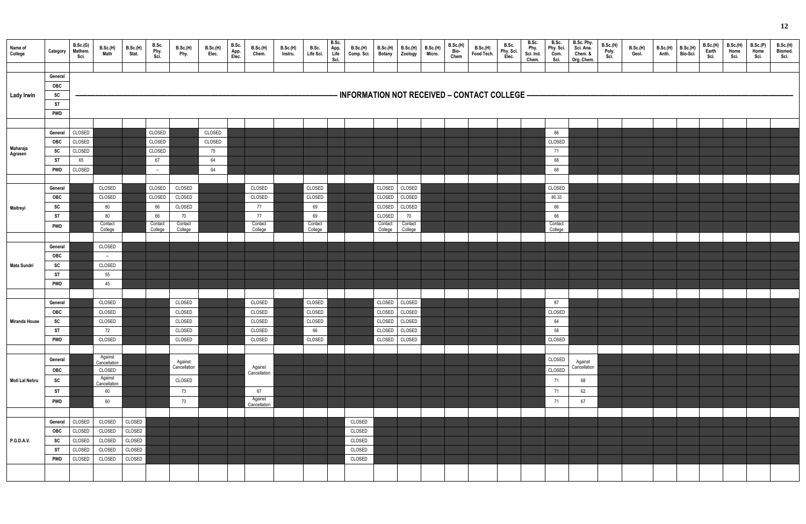|                      |                        | B.Sc.(G)         |                         | B.Sc.(H)         | B.Sc.         | B.Sc.(H)      |                   | B.Sc.         | B.Sc.(H)      | B.Sc.(H) | B.Sc.         | B.Sc.                | <b>B.Sc.(H)</b>  | <b>B.Sc.(H)</b>   | B.Sc.(H)      | <b>B.Sc.(H)</b> | <b>B.Sc.(H)</b> |                                                | B.Sc.              | B.Sc.             | B.Sc.<br>Phy. Sci. | B.Sc. Phy.<br>Sci. Ana. | B.Sc.(H)      | B.Sc.(H) | B.Sc.(H) | B.Sc.(H) | B.Sc.(H)      | B.Sc.(H)     | B.Sc.(P)     | B.Sc.(H)        |
|----------------------|------------------------|------------------|-------------------------|------------------|---------------|---------------|-------------------|---------------|---------------|----------|---------------|----------------------|------------------|-------------------|---------------|-----------------|-----------------|------------------------------------------------|--------------------|-------------------|--------------------|-------------------------|---------------|----------|----------|----------|---------------|--------------|--------------|-----------------|
| Name of<br>College   | Category               | Mathem.<br>Sci.  | <b>B.Sc.(H)</b><br>Math | Stat.            | Phy.<br>Sci.  | Phy.          | B.Sc.(H)<br>Elec. | App.<br>Elec. | Chem.         | Instru.  | Life Sci.     | App.<br>Life<br>Sci. | Comp. Sci.       | <b>Botany</b>     | Zoology       | Micro.          | Bio-<br>Chem    | B.Sc.(H)<br>Food Tech.                         | Phy. Sci.<br>Elec. | Phy.<br>Sci. Ind. | Com.               | Chem. &                 | Poly.<br>Sci. | Geol.    | Anth.    | Bio-Sci. | Earth<br>Sci. | Home<br>Sci. | Home<br>Sci. | Biomed.<br>Sci. |
|                      |                        |                  |                         |                  |               |               |                   |               |               |          |               |                      |                  |                   |               |                 |                 |                                                |                    | Chem.             | Sci.               | Org. Chem.              |               |          |          |          |               |              |              |                 |
|                      | General                |                  |                         |                  |               |               |                   |               |               |          |               |                      |                  |                   |               |                 |                 |                                                |                    |                   |                    |                         |               |          |          |          |               |              |              |                 |
|                      | OBC                    |                  |                         |                  |               |               |                   |               |               |          |               |                      |                  |                   |               |                 |                 |                                                |                    |                   |                    |                         |               |          |          |          |               |              |              |                 |
| <b>Lady Irwin</b>    | SC                     |                  |                         |                  |               |               |                   |               |               |          |               |                      |                  |                   |               |                 |                 | - INFORMATION NOT RECEIVED – CONTACT COLLEGE – |                    |                   |                    |                         |               |          |          |          |               |              |              |                 |
|                      | <b>ST</b>              |                  |                         |                  |               |               |                   |               |               |          |               |                      |                  |                   |               |                 |                 |                                                |                    |                   |                    |                         |               |          |          |          |               |              |              |                 |
|                      | <b>PWD</b>             |                  |                         |                  |               |               |                   |               |               |          |               |                      |                  |                   |               |                 |                 |                                                |                    |                   |                    |                         |               |          |          |          |               |              |              |                 |
|                      |                        |                  |                         |                  |               |               |                   |               |               |          |               |                      |                  |                   |               |                 |                 |                                                |                    |                   |                    |                         |               |          |          |          |               |              |              |                 |
|                      | General                | CLOSED           |                         |                  | CLOSED        |               | CLOSED            |               |               |          |               |                      |                  |                   |               |                 |                 |                                                |                    |                   | 86                 |                         |               |          |          |          |               |              |              |                 |
|                      | <b>OBC</b>             | CLOSED           |                         |                  | CLOSED        |               | CLOSED            |               |               |          |               |                      |                  |                   |               |                 |                 |                                                |                    |                   | CLOSED             |                         |               |          |          |          |               |              |              |                 |
| Maharaja<br>Agrasen  | <b>SC</b>              | CLOSED           |                         |                  | CLOSED        |               | 75                |               |               |          |               |                      |                  |                   |               |                 |                 |                                                |                    |                   | 71                 |                         |               |          |          |          |               |              |              |                 |
|                      | <b>ST</b>              | 65               |                         |                  | 67            |               | 64                |               |               |          |               |                      |                  |                   |               |                 |                 |                                                |                    |                   | 68                 |                         |               |          |          |          |               |              |              |                 |
|                      | <b>PWD</b>             | CLOSED           |                         |                  | $\sim$        |               | 64                |               |               |          |               |                      |                  |                   |               |                 |                 |                                                |                    |                   | 68                 |                         |               |          |          |          |               |              |              |                 |
|                      |                        |                  |                         |                  |               |               |                   |               |               |          |               |                      |                  |                   |               |                 |                 |                                                |                    |                   |                    |                         |               |          |          |          |               |              |              |                 |
|                      | General                |                  | CLOSED                  |                  | CLOSED        | CLOSED        |                   |               | CLOSED        |          | CLOSED        |                      |                  | <b>CLOSED</b>     | CLOSED        |                 |                 |                                                |                    |                   | CLOSED             |                         |               |          |          |          |               |              |              |                 |
|                      | OBC                    |                  | CLOSED                  |                  | CLOSED        | CLOSED        |                   |               | CLOSED        |          | CLOSED        |                      |                  | CLOSED            | CLOSED        |                 |                 |                                                |                    |                   | 80.33              |                         |               |          |          |          |               |              |              |                 |
| Maitreyi             | SC                     |                  | 80                      |                  | 66            | CLOSED        |                   |               | 77            |          | 69            |                      |                  | CLOSED            | CLOSED        |                 |                 |                                                |                    |                   | 66                 |                         |               |          |          |          |               |              |              |                 |
|                      | <b>ST</b>              |                  | 80<br>Contact           |                  | 66<br>Contact | 70<br>Contact |                   |               | 77<br>Contact |          | 69<br>Contact |                      |                  | CLOSED<br>Contact | 70<br>Contact |                 |                 |                                                |                    |                   | 66<br>Contact      |                         |               |          |          |          |               |              |              |                 |
|                      | <b>PWD</b>             |                  | College                 |                  | College       | College       |                   |               | College       |          | College       |                      |                  | College           | College       |                 |                 |                                                |                    |                   | College            |                         |               |          |          |          |               |              |              |                 |
|                      |                        |                  |                         |                  |               |               |                   |               |               |          |               |                      |                  |                   |               |                 |                 |                                                |                    |                   |                    |                         |               |          |          |          |               |              |              |                 |
|                      | General                |                  | CLOSED                  |                  |               |               |                   |               |               |          |               |                      |                  |                   |               |                 |                 |                                                |                    |                   |                    |                         |               |          |          |          |               |              |              |                 |
|                      | OBC                    |                  | $\sim$                  |                  |               |               |                   |               |               |          |               |                      |                  |                   |               |                 |                 |                                                |                    |                   |                    |                         |               |          |          |          |               |              |              |                 |
| <b>Mata Sundri</b>   | SC                     |                  | CLOSED                  |                  |               |               |                   |               |               |          |               |                      |                  |                   |               |                 |                 |                                                |                    |                   |                    |                         |               |          |          |          |               |              |              |                 |
|                      | <b>ST</b>              |                  | 55                      |                  |               |               |                   |               |               |          |               |                      |                  |                   |               |                 |                 |                                                |                    |                   |                    |                         |               |          |          |          |               |              |              |                 |
|                      | <b>PWD</b>             |                  | 45                      |                  |               |               |                   |               |               |          |               |                      |                  |                   |               |                 |                 |                                                |                    |                   |                    |                         |               |          |          |          |               |              |              |                 |
|                      | General                |                  | CLOSED                  |                  |               | CLOSED        |                   |               | CLOSED        |          | CLOSED        |                      |                  | CLOSED CLOSED     |               |                 |                 |                                                |                    |                   | 87                 |                         |               |          |          |          |               |              |              |                 |
|                      | OBC                    |                  | CLOSED                  |                  |               | CLOSED        |                   |               | CLOSED        |          | CLOSED        |                      |                  | CLOSED CLOSED     |               |                 |                 |                                                |                    |                   | CLOSED             |                         |               |          |          |          |               |              |              |                 |
| <b>Miranda House</b> | SC                     |                  | CLOSED                  |                  |               | CLOSED        |                   |               | CLOSED        |          | CLOSED        |                      |                  | CLOSED CLOSED     |               |                 |                 |                                                |                    |                   | 64                 |                         |               |          |          |          |               |              |              |                 |
|                      | <b>ST</b>              |                  | 72                      |                  |               | CLOSED        |                   |               | CLOSED        |          | 66            |                      |                  | CLOSED CLOSED     |               |                 |                 |                                                |                    |                   | 58                 |                         |               |          |          |          |               |              |              |                 |
|                      | <b>PWD</b>             |                  | CLOSED                  |                  |               | CLOSED        |                   |               | CLOSED        |          | CLOSED        |                      |                  | CLOSED CLOSED     |               |                 |                 |                                                |                    |                   | CLOSED             |                         |               |          |          |          |               |              |              |                 |
|                      |                        |                  |                         |                  |               |               |                   |               |               |          |               |                      |                  |                   |               |                 |                 |                                                |                    |                   |                    |                         |               |          |          |          |               |              |              |                 |
|                      | General                |                  | Against<br>Cancellation |                  |               | Against       |                   |               |               |          |               |                      |                  |                   |               |                 |                 |                                                |                    |                   | CLOSED             | Against                 |               |          |          |          |               |              |              |                 |
|                      | OBC                    |                  | CLOSED                  |                  |               | Cancellation  |                   |               | Against       |          |               |                      |                  |                   |               |                 |                 |                                                |                    |                   | CLOSED             | Cancellation            |               |          |          |          |               |              |              |                 |
| Moti Lal Nehru       | SC                     |                  | Against                 |                  |               | CLOSED        |                   |               | Cancellation  |          |               |                      |                  |                   |               |                 |                 |                                                |                    |                   | 71                 | 68                      |               |          |          |          |               |              |              |                 |
|                      | <b>ST</b>              |                  | Cancellation<br>60      |                  |               | 73            |                   |               | 67            |          |               |                      |                  |                   |               |                 |                 |                                                |                    |                   | 71                 | 62                      |               |          |          |          |               |              |              |                 |
|                      | <b>PWD</b>             |                  | 60                      |                  |               | 73            |                   |               | Against       |          |               |                      |                  |                   |               |                 |                 |                                                |                    |                   | 71                 | 67                      |               |          |          |          |               |              |              |                 |
|                      |                        |                  |                         |                  |               |               |                   |               | Cancellation  |          |               |                      |                  |                   |               |                 |                 |                                                |                    |                   |                    |                         |               |          |          |          |               |              |              |                 |
|                      |                        |                  |                         |                  |               |               |                   |               |               |          |               |                      |                  |                   |               |                 |                 |                                                |                    |                   |                    |                         |               |          |          |          |               |              |              |                 |
|                      | General<br><b>OBC</b>  | CLOSED           | CLOSED                  | CLOSED           |               |               |                   |               |               |          |               |                      | CLOSED           |                   |               |                 |                 |                                                |                    |                   |                    |                         |               |          |          |          |               |              |              |                 |
| P.G.D.A.V.           |                        | CLOSED<br>CLOSED | CLOSED<br>CLOSED        | CLOSED<br>CLOSED |               |               |                   |               |               |          |               |                      | CLOSED<br>CLOSED |                   |               |                 |                 |                                                |                    |                   |                    |                         |               |          |          |          |               |              |              |                 |
|                      | <b>SC</b><br><b>ST</b> | CLOSED           | CLOSED                  | CLOSED           |               |               |                   |               |               |          |               |                      | CLOSED           |                   |               |                 |                 |                                                |                    |                   |                    |                         |               |          |          |          |               |              |              |                 |
|                      | <b>PWD</b>             | CLOSED           | CLOSED                  | CLOSED           |               |               |                   |               |               |          |               |                      | CLOSED           |                   |               |                 |                 |                                                |                    |                   |                    |                         |               |          |          |          |               |              |              |                 |
|                      |                        |                  |                         |                  |               |               |                   |               |               |          |               |                      |                  |                   |               |                 |                 |                                                |                    |                   |                    |                         |               |          |          |          |               |              |              |                 |
|                      |                        |                  |                         |                  |               |               |                   |               |               |          |               |                      |                  |                   |               |                 |                 |                                                |                    |                   |                    |                         |               |          |          |          |               |              |              |                 |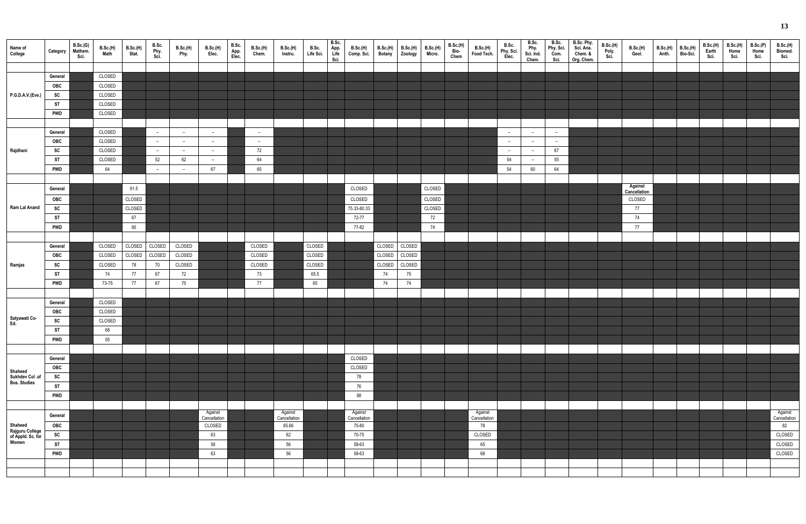| Name of<br>College                                       | Category                      | B.Sc.(G)<br>Mathem.<br>Sci. | B.Sc.(H)<br><b>Math</b>    | B.Sc.(H)<br>Stat.      | B.Sc.<br>Phy.<br>Sci.  | B.Sc.(H)<br>Phy.                                     | <b>B.Sc.(H)</b><br>Elec.                             | B.Sc.<br>App.<br>Elec. | B.Sc.(H)<br>Chem.               | <b>B.Sc.(H)</b><br>Instru.  | B.Sc.<br>Life Sci.         | B.Sc.<br>App.<br>Life<br>Sci. | <b>B.Sc.(H)</b><br>Comp. Sci.  | B.Sc.(H)                   | B.Sc.(H)<br>Botany Zoology | <b>B.Sc.(H)</b><br>Micro. | B.Sc.(H)<br>Bio-<br>Chem | <b>B.Sc.(H)</b><br>Food Tech. | B.Sc.<br>Phy. Sci.<br>Elec.                          | B.Sc.<br>Phy.<br>Sci. Ind.<br>Chem.                  | B.Sc.<br>Phy. Sci.<br>Com.<br>Sci. | B.Sc. Phy.<br>Sci. Ana.<br>Chem. &<br>Org. Chem. | <b>B.Sc.(H)</b><br>Poly.<br>Sci. | B.Sc.(H)<br>Geol.       | Anth. | $B.Sc.(H)$ $B.Sc.(H)$<br>Bio-Sci. | B.Sc.(H)<br>Earth<br>Sci. | B.Sc.(H)<br>Home<br>Sci. | B.Sc.(P)<br>Home<br>Sci. | B.Sc.(H)<br>Biomed.<br>Sci. |
|----------------------------------------------------------|-------------------------------|-----------------------------|----------------------------|------------------------|------------------------|------------------------------------------------------|------------------------------------------------------|------------------------|---------------------------------|-----------------------------|----------------------------|-------------------------------|--------------------------------|----------------------------|----------------------------|---------------------------|--------------------------|-------------------------------|------------------------------------------------------|------------------------------------------------------|------------------------------------|--------------------------------------------------|----------------------------------|-------------------------|-------|-----------------------------------|---------------------------|--------------------------|--------------------------|-----------------------------|
|                                                          | General<br>OBC                |                             | CLOSED<br>CLOSED           |                        |                        |                                                      |                                                      |                        |                                 |                             |                            |                               |                                |                            |                            |                           |                          |                               |                                                      |                                                      |                                    |                                                  |                                  |                         |       |                                   |                           |                          |                          |                             |
| P.G.D.A.V.(Eve.)                                         | SC<br><b>ST</b><br><b>PWD</b> |                             | CLOSED<br>CLOSED<br>CLOSED |                        |                        |                                                      |                                                      |                        |                                 |                             |                            |                               |                                |                            |                            |                           |                          |                               |                                                      |                                                      |                                    |                                                  |                                  |                         |       |                                   |                           |                          |                          |                             |
|                                                          | General<br>OBC                |                             | CLOSED<br>CLOSED           |                        | $\sim$<br>$\sim$       | $\overline{\phantom{0}}$<br>$\overline{\phantom{a}}$ | $\overline{\phantom{0}}$<br>$\overline{\phantom{0}}$ |                        | $-$<br>$\overline{\phantom{0}}$ |                             |                            |                               |                                |                            |                            |                           |                          |                               | $\overline{\phantom{0}}$<br>$\overline{\phantom{0}}$ | $\overline{\phantom{a}}$<br>$\overline{\phantom{a}}$ | $ \,$<br>$-$                       |                                                  |                                  |                         |       |                                   |                           |                          |                          |                             |
| Rajdhani                                                 | SC<br><b>ST</b>               |                             | CLOSED<br>CLOSED           |                        | $\sim$<br>52           | $\overline{\phantom{0}}$<br>62                       | $\overline{\phantom{0}}$<br>$\overline{\phantom{0}}$ |                        | 72<br>64                        |                             |                            |                               |                                |                            |                            |                           |                          |                               | $\overline{a}$<br>54                                 | $\overline{\phantom{a}}$<br>$\overline{\phantom{a}}$ | 67<br>55                           |                                                  |                                  |                         |       |                                   |                           |                          |                          |                             |
|                                                          | <b>PWD</b><br>General         |                             | 64                         | 91.5                   | $\sim$                 | $-$                                                  | 67                                                   |                        | 65                              |                             |                            |                               | CLOSED                         |                            |                            | CLOSED                    |                          |                               | 54                                                   | 60                                                   | 64                                 |                                                  |                                  | Against<br>Cancellation |       |                                   |                           |                          |                          |                             |
| Ram Lal Anand                                            | OBC<br>SC<br><b>ST</b>        |                             |                            | CLOSED<br>CLOSED<br>67 |                        |                                                      |                                                      |                        |                                 |                             |                            |                               | CLOSED<br>75.33-80.33<br>72-77 |                            |                            | CLOSED<br>CLOSED<br>72    |                          |                               |                                                      |                                                      |                                    |                                                  |                                  | CLOSED<br>77<br>74      |       |                                   |                           |                          |                          |                             |
|                                                          | <b>PWD</b>                    |                             |                            | 80                     |                        |                                                      |                                                      |                        |                                 |                             |                            |                               | 77-82                          |                            |                            | 74                        |                          |                               |                                                      |                                                      |                                    |                                                  |                                  | 77                      |       |                                   |                           |                          |                          |                             |
| Ramjas                                                   | General<br><b>OBC</b><br>SC   |                             | CLOSED<br>CLOSED<br>CLOSED | CLOSED<br>CLOSED<br>78 | CLOSED<br>CLOSED<br>70 | CLOSED<br>CLOSED<br>CLOSED                           |                                                      |                        | CLOSED<br>CLOSED<br>CLOSED      |                             | CLOSED<br>CLOSED<br>CLOSED |                               |                                | CLOSED<br>CLOSED<br>CLOSED | CLOSED<br>CLOSED<br>CLOSED |                           |                          |                               |                                                      |                                                      |                                    |                                                  |                                  |                         |       |                                   |                           |                          |                          |                             |
|                                                          | <b>ST</b><br><b>PWD</b>       |                             | 74<br>73-75                | 77<br>77               | 67<br>67               | 72<br>75                                             |                                                      |                        | 73<br>77                        |                             | 65.5<br>65                 |                               |                                | 74<br>74                   | 75<br>74                   |                           |                          |                               |                                                      |                                                      |                                    |                                                  |                                  |                         |       |                                   |                           |                          |                          |                             |
|                                                          | General<br>OBC                |                             | CLOSED<br>CLOSED           |                        |                        |                                                      |                                                      |                        |                                 |                             |                            |                               |                                |                            |                            |                           |                          |                               |                                                      |                                                      |                                    |                                                  |                                  |                         |       |                                   |                           |                          |                          |                             |
| Satyawati Co-<br>Ed.                                     | SC<br><b>ST</b><br><b>PWD</b> |                             | CLOSED<br>68<br>55         |                        |                        |                                                      |                                                      |                        |                                 |                             |                            |                               |                                |                            |                            |                           |                          |                               |                                                      |                                                      |                                    |                                                  |                                  |                         |       |                                   |                           |                          |                          |                             |
|                                                          | General                       |                             |                            |                        |                        |                                                      |                                                      |                        |                                 |                             |                            |                               | CLOSED                         |                            |                            |                           |                          |                               |                                                      |                                                      |                                    |                                                  |                                  |                         |       |                                   |                           |                          |                          |                             |
| Shaheed<br>Sukhdev Col .of<br><b>Bus. Studies</b>        | OBC<br>SC<br><b>ST</b>        |                             |                            |                        |                        |                                                      |                                                      |                        |                                 |                             |                            |                               | CLOSED<br>78<br>76             |                            |                            |                           |                          |                               |                                                      |                                                      |                                    |                                                  |                                  |                         |       |                                   |                           |                          |                          |                             |
|                                                          | <b>PWD</b><br>General         |                             |                            |                        |                        |                                                      | Against                                              |                        |                                 | Against                     |                            |                               | 88<br>Against                  |                            |                            |                           |                          | Against                       |                                                      |                                                      |                                    |                                                  |                                  |                         |       |                                   |                           |                          |                          | Against<br>Cancellation     |
| Shaheed<br>Rajguru College<br>of Appld. Sc. for<br>Women | <b>OBC</b><br>SC              |                             |                            |                        |                        |                                                      | Cancellation<br>CLOSED<br>63                         |                        |                                 | Cancellation<br>65.66<br>62 |                            |                               | Cancellation<br>75-80<br>70-75 |                            |                            |                           |                          | Cancellation<br>78<br>CLOSED  |                                                      |                                                      |                                    |                                                  |                                  |                         |       |                                   |                           |                          |                          | 82<br>CLOSED                |
|                                                          | <b>ST</b><br><b>PWD</b>       |                             |                            |                        |                        |                                                      | 58<br>63                                             |                        |                                 | 56<br>56                    |                            |                               | 58-63<br>58-63                 |                            |                            |                           |                          | 65<br>68                      |                                                      |                                                      |                                    |                                                  |                                  |                         |       |                                   |                           |                          |                          | CLOSED<br>CLOSED            |
|                                                          |                               |                             |                            |                        |                        |                                                      |                                                      |                        |                                 |                             |                            |                               |                                |                            |                            |                           |                          |                               |                                                      |                                                      |                                    |                                                  |                                  |                         |       |                                   |                           |                          |                          |                             |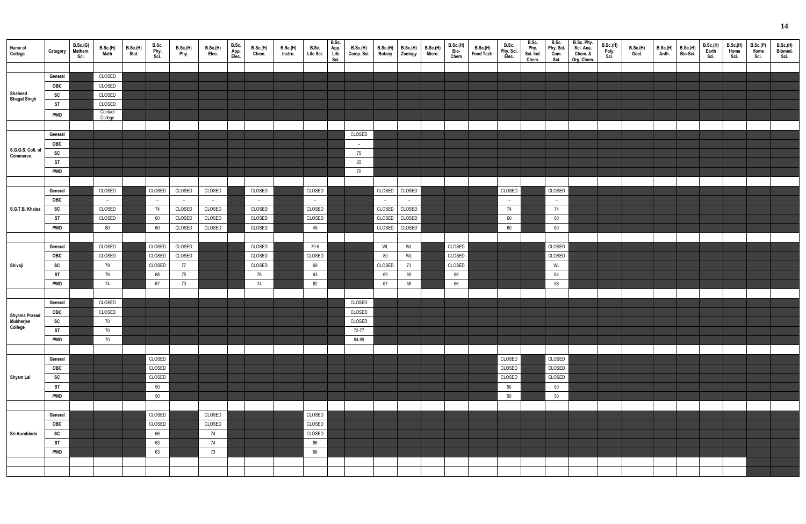| Name of<br>College         | Category Mathem. | B.Sc.(G)<br>Sci. | B.Sc.(H)<br><b>Math</b> | B.Sc.(H)<br>Stat. | B.Sc.<br>Phy.<br>Sci. | B.Sc.(H)<br>Phy. | B.Sc.(H)<br>Elec. | B.Sc.<br>App.<br>Elec. | B.Sc.(H)<br>Chem. | B.Sc.(H)<br>Instru. | B.Sc.<br>Life Sci. | B.Sc.<br>App.<br>Life<br>Sci. | <b>B.Sc.(H)</b><br>Comp. Sci. | <b>B.Sc.(H)</b> | B.Sc.(H)<br>Botany Zoology | <b>B.Sc.(H)</b><br>Micro. | <b>B.Sc.(H)</b><br>Bio-<br>Chem | B.Sc.(H)<br>Food Tech. | B.Sc.<br>Phy. Sci.<br>Elec. | B.Sc.<br>Phy.<br>Sci. Ind.<br>Chem. | B.Sc.<br>Phy. Sci.<br>Com.<br>Sci. | B.Sc. Phy.<br>Sci. Ana.<br>Chem. &<br>Org. Chem. | B.Sc.(H)<br>Poly.<br>Sci. | <b>B.Sc.(H)</b><br>Geol. | B.Sc.(H) B.Sc.(H)<br>Anth. Bio-Sci. | B.Sc.(H)<br>Earth<br>Sci. | B.Sc.(H)<br>Home<br>Sci. | B.Sc.(P)<br>Home<br>Sci. | B.Sc.(H)<br>Biomed.<br>Sci. |
|----------------------------|------------------|------------------|-------------------------|-------------------|-----------------------|------------------|-------------------|------------------------|-------------------|---------------------|--------------------|-------------------------------|-------------------------------|-----------------|----------------------------|---------------------------|---------------------------------|------------------------|-----------------------------|-------------------------------------|------------------------------------|--------------------------------------------------|---------------------------|--------------------------|-------------------------------------|---------------------------|--------------------------|--------------------------|-----------------------------|
|                            |                  |                  |                         |                   |                       |                  |                   |                        |                   |                     |                    |                               |                               |                 |                            |                           |                                 |                        |                             |                                     |                                    |                                                  |                           |                          |                                     |                           |                          |                          |                             |
|                            | General          |                  | CLOSED                  |                   |                       |                  |                   |                        |                   |                     |                    |                               |                               |                 |                            |                           |                                 |                        |                             |                                     |                                    |                                                  |                           |                          |                                     |                           |                          |                          |                             |
|                            | OBC              |                  | CLOSED                  |                   |                       |                  |                   |                        |                   |                     |                    |                               |                               |                 |                            |                           |                                 |                        |                             |                                     |                                    |                                                  |                           |                          |                                     |                           |                          |                          |                             |
| Shaheed                    | SC               |                  | CLOSED                  |                   |                       |                  |                   |                        |                   |                     |                    |                               |                               |                 |                            |                           |                                 |                        |                             |                                     |                                    |                                                  |                           |                          |                                     |                           |                          |                          |                             |
| <b>Bhagat Singh</b>        | <b>ST</b>        |                  | CLOSED                  |                   |                       |                  |                   |                        |                   |                     |                    |                               |                               |                 |                            |                           |                                 |                        |                             |                                     |                                    |                                                  |                           |                          |                                     |                           |                          |                          |                             |
|                            | <b>PWD</b>       |                  | Contact                 |                   |                       |                  |                   |                        |                   |                     |                    |                               |                               |                 |                            |                           |                                 |                        |                             |                                     |                                    |                                                  |                           |                          |                                     |                           |                          |                          |                             |
|                            |                  |                  | College                 |                   |                       |                  |                   |                        |                   |                     |                    |                               |                               |                 |                            |                           |                                 |                        |                             |                                     |                                    |                                                  |                           |                          |                                     |                           |                          |                          |                             |
|                            | General          |                  |                         |                   |                       |                  |                   |                        |                   |                     |                    |                               | CLOSED                        |                 |                            |                           |                                 |                        |                             |                                     |                                    |                                                  |                           |                          |                                     |                           |                          |                          |                             |
|                            | OBC              |                  |                         |                   |                       |                  |                   |                        |                   |                     |                    |                               | $\overline{a}$                |                 |                            |                           |                                 |                        |                             |                                     |                                    |                                                  |                           |                          |                                     |                           |                          |                          |                             |
| S.G.G.S. Coll. of          | SC               |                  |                         |                   |                       |                  |                   |                        |                   |                     |                    |                               | 75                            |                 |                            |                           |                                 |                        |                             |                                     |                                    |                                                  |                           |                          |                                     |                           |                          |                          |                             |
| Commerce.                  | <b>ST</b>        |                  |                         |                   |                       |                  |                   |                        |                   |                     |                    |                               | 65                            |                 |                            |                           |                                 |                        |                             |                                     |                                    |                                                  |                           |                          |                                     |                           |                          |                          |                             |
|                            | <b>PWD</b>       |                  |                         |                   |                       |                  |                   |                        |                   |                     |                    |                               | 70                            |                 |                            |                           |                                 |                        |                             |                                     |                                    |                                                  |                           |                          |                                     |                           |                          |                          |                             |
|                            |                  |                  |                         |                   |                       |                  |                   |                        |                   |                     |                    |                               |                               |                 |                            |                           |                                 |                        |                             |                                     |                                    |                                                  |                           |                          |                                     |                           |                          |                          |                             |
|                            | General          |                  | CLOSED                  |                   | CLOSED                | CLOSED           | CLOSED            |                        | CLOSED            |                     | CLOSED             |                               |                               |                 | CLOSED CLOSED              |                           |                                 |                        | CLOSED                      |                                     | CLOSED                             |                                                  |                           |                          |                                     |                           |                          |                          |                             |
|                            | OBC              |                  | $\sim$                  |                   | $\sim$                | $\overline{a}$   | $-$               |                        | $\sim$            |                     | $\sim$             |                               |                               | $-$             | $-$                        |                           |                                 |                        | $\sim$                      |                                     | $\sim$                             |                                                  |                           |                          |                                     |                           |                          |                          |                             |
| S.G.T.B. Khalsa            | SC               |                  | CLOSED                  |                   | 74                    | CLOSED           | CLOSED            |                        | CLOSED            |                     | CLOSED             |                               |                               |                 | CLOSED CLOSED              |                           |                                 |                        | 74                          |                                     | 74                                 |                                                  |                           |                          |                                     |                           |                          |                          |                             |
|                            | <b>ST</b>        |                  | CLOSED                  |                   | 60                    | CLOSED           | CLOSED            |                        | CLOSED            |                     | CLOSED             |                               |                               |                 | CLOSED CLOSED              |                           |                                 |                        | 60                          |                                     | 60                                 |                                                  |                           |                          |                                     |                           |                          |                          |                             |
|                            | <b>PWD</b>       |                  | 80                      |                   | 60                    | CLOSED           | CLOSED            |                        | CLOSED            |                     | 45                 |                               |                               |                 | CLOSED CLOSED              |                           |                                 |                        | 60                          |                                     | 60                                 |                                                  |                           |                          |                                     |                           |                          |                          |                             |
|                            |                  |                  |                         |                   |                       |                  |                   |                        |                   |                     |                    |                               |                               |                 |                            |                           |                                 |                        |                             |                                     |                                    |                                                  |                           |                          |                                     |                           |                          |                          |                             |
|                            | General          |                  | CLOSED                  |                   | CLOSED                | CLOSED           |                   |                        | CLOSED            |                     | 79.6               |                               |                               | WL              | WL                         |                           | CLOSED                          |                        |                             |                                     | CLOSED                             |                                                  |                           |                          |                                     |                           |                          |                          |                             |
|                            | OBC              |                  | CLOSED                  |                   | CLOSED                | CLOSED           |                   |                        | CLOSED            |                     | CLOSED             |                               |                               | 80              | WL                         |                           | CLOSED                          |                        |                             |                                     | CLOSED                             |                                                  |                           |                          |                                     |                           |                          |                          |                             |
| Shivaji                    | <b>SC</b>        |                  | 79                      |                   | CLOSED                | 77               |                   |                        | CLOSED            |                     | 69                 |                               |                               | CLOSED          | 73                         |                           | CLOSED                          |                        |                             |                                     | WL                                 |                                                  |                           |                          |                                     |                           |                          |                          |                             |
|                            | <b>ST</b>        |                  | 76                      |                   | 68                    | 75               |                   |                        | 76                |                     | 63                 |                               |                               | 69              | 69                         |                           | 66                              |                        |                             |                                     | 64                                 |                                                  |                           |                          |                                     |                           |                          |                          |                             |
|                            | <b>PWD</b>       |                  | 74                      |                   | 67                    | 70               |                   |                        | 74                |                     | 62                 |                               |                               | 67              | 58                         |                           | 66                              |                        |                             |                                     | 58                                 |                                                  |                           |                          |                                     |                           |                          |                          |                             |
|                            |                  |                  |                         |                   |                       |                  |                   |                        |                   |                     |                    |                               |                               |                 |                            |                           |                                 |                        |                             |                                     |                                    |                                                  |                           |                          |                                     |                           |                          |                          |                             |
|                            | General          |                  | CLOSED                  |                   |                       |                  |                   |                        |                   |                     |                    |                               | CLOSED                        |                 |                            |                           |                                 |                        |                             |                                     |                                    |                                                  |                           |                          |                                     |                           |                          |                          |                             |
|                            | OBC              |                  | CLOSED                  |                   |                       |                  |                   |                        |                   |                     |                    |                               | CLOSED                        |                 |                            |                           |                                 |                        |                             |                                     |                                    |                                                  |                           |                          |                                     |                           |                          |                          |                             |
| Shyama Prasad<br>Mukherjee | SC               |                  | 70                      |                   |                       |                  |                   |                        |                   |                     |                    |                               | CLOSED                        |                 |                            |                           |                                 |                        |                             |                                     |                                    |                                                  |                           |                          |                                     |                           |                          |                          |                             |
| College                    | <b>ST</b>        |                  | 70                      |                   |                       |                  |                   |                        |                   |                     |                    |                               | 72-77                         |                 |                            |                           |                                 |                        |                             |                                     |                                    |                                                  |                           |                          |                                     |                           |                          |                          |                             |
|                            | <b>PWD</b>       |                  | 70                      |                   |                       |                  |                   |                        |                   |                     |                    |                               | 84-89                         |                 |                            |                           |                                 |                        |                             |                                     |                                    |                                                  |                           |                          |                                     |                           |                          |                          |                             |
|                            |                  |                  |                         |                   |                       |                  |                   |                        |                   |                     |                    |                               |                               |                 |                            |                           |                                 |                        |                             |                                     |                                    |                                                  |                           |                          |                                     |                           |                          |                          |                             |
|                            | General          |                  |                         |                   | CLOSED                |                  |                   |                        |                   |                     |                    |                               |                               |                 |                            |                           |                                 |                        | CLOSED                      |                                     | CLOSED                             |                                                  |                           |                          |                                     |                           |                          |                          |                             |
|                            | OBC              |                  |                         |                   | CLOSED                |                  |                   |                        |                   |                     |                    |                               |                               |                 |                            |                           |                                 |                        | CLOSED                      |                                     | CLOSED                             |                                                  |                           |                          |                                     |                           |                          |                          |                             |
| Shyam Lal                  | SC               |                  |                         |                   | CLOSED                |                  |                   |                        |                   |                     |                    |                               |                               |                 |                            |                           |                                 |                        | CLOSED                      |                                     | CLOSED                             |                                                  |                           |                          |                                     |                           |                          |                          |                             |
|                            | <b>ST</b>        |                  |                         |                   | 50                    |                  |                   |                        |                   |                     |                    |                               |                               |                 |                            |                           |                                 |                        | 50                          |                                     | 50                                 |                                                  |                           |                          |                                     |                           |                          |                          |                             |
|                            | <b>PWD</b>       |                  |                         |                   | 50                    |                  |                   |                        |                   |                     |                    |                               |                               |                 |                            |                           |                                 |                        | 50                          |                                     | 50                                 |                                                  |                           |                          |                                     |                           |                          |                          |                             |
|                            |                  |                  |                         |                   |                       |                  |                   |                        |                   |                     |                    |                               |                               |                 |                            |                           |                                 |                        |                             |                                     |                                    |                                                  |                           |                          |                                     |                           |                          |                          |                             |
|                            | General          |                  |                         |                   | CLOSED                |                  | CLOSED            |                        |                   |                     | CLOSED             |                               |                               |                 |                            |                           |                                 |                        |                             |                                     |                                    |                                                  |                           |                          |                                     |                           |                          |                          |                             |
|                            | OBC              |                  |                         |                   | CLOSED                |                  | CLOSED            |                        |                   |                     | CLOSED             |                               |                               |                 |                            |                           |                                 |                        |                             |                                     |                                    |                                                  |                           |                          |                                     |                           |                          |                          |                             |
| Sri Aurobindo              | SC               |                  |                         |                   | 66                    |                  | 74                |                        |                   |                     | CLOSED             |                               |                               |                 |                            |                           |                                 |                        |                             |                                     |                                    |                                                  |                           |                          |                                     |                           |                          |                          |                             |
|                            | <b>ST</b>        |                  |                         |                   | 63                    |                  | 74                |                        |                   |                     | 66                 |                               |                               |                 |                            |                           |                                 |                        |                             |                                     |                                    |                                                  |                           |                          |                                     |                           |                          |                          |                             |
|                            | <b>PWD</b>       |                  |                         |                   | 63                    |                  | 73                |                        |                   |                     | 66                 |                               |                               |                 |                            |                           |                                 |                        |                             |                                     |                                    |                                                  |                           |                          |                                     |                           |                          |                          |                             |
|                            |                  |                  |                         |                   |                       |                  |                   |                        |                   |                     |                    |                               |                               |                 |                            |                           |                                 |                        |                             |                                     |                                    |                                                  |                           |                          |                                     |                           |                          |                          |                             |
|                            |                  |                  |                         |                   |                       |                  |                   |                        |                   |                     |                    |                               |                               |                 |                            |                           |                                 |                        |                             |                                     |                                    |                                                  |                           |                          |                                     |                           |                          |                          |                             |
|                            |                  |                  |                         |                   |                       |                  |                   |                        |                   |                     |                    |                               |                               |                 |                            |                           |                                 |                        |                             |                                     |                                    |                                                  |                           |                          |                                     |                           |                          |                          |                             |